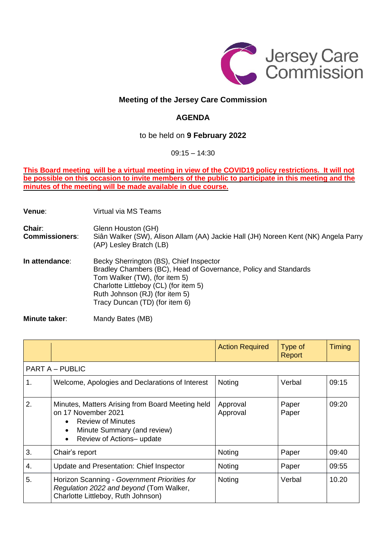

## **Meeting of the Jersey Care Commission**

# **AGENDA**

## to be held on **9 February 2022**

#### 09:15 – 14:30

#### **This Board meeting will be a virtual meeting in view of the COVID19 policy restrictions. It will not** be possible on this occasion to invite members of the public to participate in this meeting and the **minutes of the meeting will be made available in due course.**

**Venue**: Virtual via MS Teams

**Chair:** Glenn Houston (GH) **Commissioners**: Siân Walker (SW), Alison Allam (AA) Jackie Hall (JH) Noreen Kent (NK) Angela Parry (AP) Lesley Bratch (LB) **In attendance**: Becky Sherrington (BS), Chief Inspector

Bradley Chambers (BC), Head of Governance, Policy and Standards Tom Walker (TW), (for item 5) Charlotte Littleboy (CL) (for item 5) Ruth Johnson (RJ) (for item 5) Tracy Duncan (TD) (for item 6)

**Minute taker:** Mandy Bates (MB)

|                        |                                                                                                                                                                        | <b>Action Required</b> | Type of<br>Report | Timing |  |  |  |
|------------------------|------------------------------------------------------------------------------------------------------------------------------------------------------------------------|------------------------|-------------------|--------|--|--|--|
| <b>PART A - PUBLIC</b> |                                                                                                                                                                        |                        |                   |        |  |  |  |
| 1.                     | Welcome, Apologies and Declarations of Interest                                                                                                                        | Noting                 | Verbal            | 09:15  |  |  |  |
| 2.                     | Minutes, Matters Arising from Board Meeting held<br>on 17 November 2021<br>• Review of Minutes<br>Minute Summary (and review)<br>$\bullet$<br>Review of Actions-update | Approval<br>Approval   | Paper<br>Paper    | 09:20  |  |  |  |
| 3.                     | Chair's report                                                                                                                                                         | Noting                 | Paper             | 09:40  |  |  |  |
| 4.                     | Update and Presentation: Chief Inspector                                                                                                                               | Noting                 | Paper             | 09:55  |  |  |  |
| 5.                     | Horizon Scanning - Government Priorities for<br>Regulation 2022 and beyond (Tom Walker,<br>Charlotte Littleboy, Ruth Johnson)                                          | Noting                 | Verbal            | 10.20  |  |  |  |